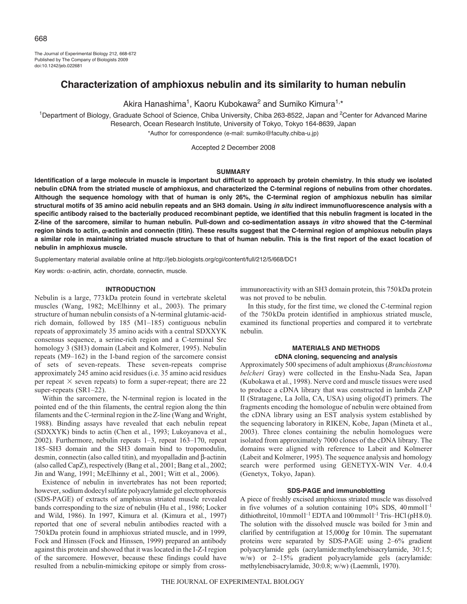The Journal of Experimental Biology 212, 668-672 Published by The Company of Biologists 2009 doi:10.1242/jeb.022681

# **Characterization of amphioxus nebulin and its similarity to human nebulin**

Akira Hanashima<sup>1</sup>, Kaoru Kubokawa<sup>2</sup> and Sumiko Kimura<sup>1,\*</sup>

<sup>1</sup>Department of Biology, Graduate School of Science, Chiba University, Chiba 263-8522, Japan and <sup>2</sup>Center for Advanced Marine Research, Ocean Research Institute, University of Tokyo, Tokyo 164-8639, Japan

\*Author for correspondence (e-mail: sumiko@faculty.chiba-u.jp)

Accepted 2 December 2008

# **SUMMARY**

**Identification of a large molecule in muscle is important but difficult to approach by protein chemistry. In this study we isolated nebulin cDNA from the striated muscle of amphioxus, and characterized the C-terminal regions of nebulins from other chordates. Although the sequence homology with that of human is only 26%, the C-terminal region of amphioxus nebulin has similar structural motifs of 35 amino acid nebulin repeats and an SH3 domain. Using** *in situ* **indirect immunofluorescence analysis with a specific antibody raised to the bacterially produced recombinant peptide, we identified that this nebulin fragment is located in the Z-line of the sarcomere, similar to human nebulin. Pull-down and co-sedimentation assays** *in vitro* **showed that the C-terminal region binds to actin,** α**-actinin and connectin (titin). These results suggest that the C-terminal region of amphioxus nebulin plays a similar role in maintaining striated muscle structure to that of human nebulin. This is the first report of the exact location of nebulin in amphioxus muscle.**

Supplementary material available online at http://jeb.biologists.org/cgi/content/full/212/5/668/DC1

Key words: α-actinin, actin, chordate, connectin, muscle.

### **INTRODUCTION**

Nebulin is a large, 773kDa protein found in vertebrate skeletal muscles (Wang, 1982; McElhinny et al., 2003). The primary structure of human nebulin consists of a N-terminal glutamic-acidrich domain, followed by 185 (M1–185) contiguous nebulin repeats of approximately 35 amino acids with a central SDXXYK consensus sequence, a serine-rich region and a C-terminal Src homology 3 (SH3) domain (Labeit and Kolmerer, 1995). Nebulin repeats (M9–162) in the I-band region of the sarcomere consist of sets of seven-repeats. These seven-repeats comprise approximately 245 amino acid residues (i.e. 35 amino acid residues per repeat  $\times$  seven repeats) to form a super-repeat; there are 22 super-repeats (SR1-22).

Within the sarcomere, the N-terminal region is located in the pointed end of the thin filaments, the central region along the thin filaments and the C-terminal region in the Z-line (Wang and Wright, 1988). Binding assays have revealed that each nebulin repeat (SDXXYK) binds to actin (Chen et al., 1993; Lukoyanova et al., 2002). Furthermore, nebulin repeats 1–3, repeat 163–170, repeat 185–SH3 domain and the SH3 domain bind to tropomodulin, desmin, connectin (also called titin), and myopalladin and β-actinin (also called CapZ), respectively (Bang et al., 2001; Bang et al., 2002; Jin and Wang, 1991; McElhinny et al., 2001; Witt et al., 2006).

Existence of nebulin in invertebrates has not been reported; however, sodium dodecyl sulfate polyacrylamide gel electrophoresis (SDS-PAGE) of extracts of amphioxus striated muscle revealed bands corresponding to the size of nebulin (Hu et al., 1986; Locker and Wild, 1986). In 1997, Kimura et al. (Kimura et al., 1997) reported that one of several nebulin antibodies reacted with a 750kDa protein found in amphioxus striated muscle, and in 1999, Fock and Hinssen (Fock and Hinssen, 1999) prepared an antibody against this protein and showed that it was located in the I-Z-I region of the sarcomere. However, because these findings could have resulted from a nebulin-mimicking epitope or simply from crossimmunoreactivity with an SH3 domain protein, this 750kDa protein was not proved to be nebulin.

In this study, for the first time, we cloned the C-terminal region of the 750kDa protein identified in amphioxus striated muscle, examined its functional properties and compared it to vertebrate nebulin.

# **MATERIALS AND METHODS cDNA cloning, sequencing and analysis**

Approximately 500 specimens of adult amphioxus (*Branchiostoma belcheri* Gray) were collected in the Enshu-Nada Sea, Japan (Kubokawa et al., 1998). Nerve cord and muscle tissues were used to produce a cDNA library that was constructed in lambda ZAP II (Stratagene, La Jolla, CA, USA) using oligo(dT) primers. The fragments encoding the homologue of nebulin were obtained from the cDNA library using an EST analysis system established by the sequencing laboratory in RIKEN, Kobe, Japan (Mineta et al., 2003). Three clones containing the nebulin homologues were isolated from approximately 7000 clones of the cDNA library. The domains were aligned with reference to Labeit and Kolmerer (Labeit and Kolmerer, 1995). The sequence analysis and homology search were performed using GENETYX-WIN Ver. 4.0.4 (Genetyx, Tokyo, Japan).

# **SDS-PAGE and immunoblotting**

A piece of freshly excised amphioxus striated muscle was dissolved in five volumes of a solution containing  $10\%$  SDS,  $40$  mmol<sup>1-1</sup> dithiothreitol,  $10$  mmol<sup>1-1</sup> EDTA and  $100$  mmol<sup>1-1</sup> Tris–HCl (pH8.0). The solution with the dissolved muscle was boiled for 3min and clarified by centrifugation at 15,000*g* for 10min. The supernatant proteins were separated by SDS-PAGE using 2–6% gradient polyacrylamide gels (acrylamide:methylenebisacrylamide, 30:1.5; w/w) or 2–15% gradient polyacrylamide gels (acrylamide: methylenebisacrylamide, 30:0.8; w/w) (Laemmli, 1970).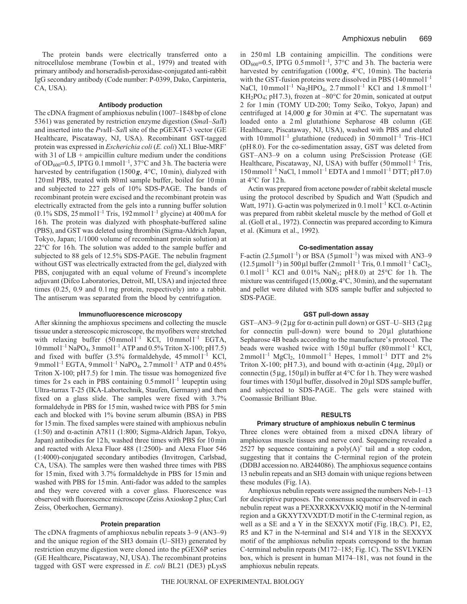The protein bands were electrically transferred onto a nitrocellulose membrane (Towbin et al., 1979) and treated with primary antibody and horseradish-peroxidase-conjugated anti-rabbit IgG secondary antibody (Code number: P-0399, Dako, Carpinteria, CA, USA).

### **Antibody production**

The cDNA fragment of amphioxus nebulin (1007–1848bp of clone 5361) was generated by restriction enzyme digestion (*Sma*I–*Sal*I) and inserted into the *Pvu*II–*Sal*I site of the pGEX4T-3 vector (GE Healthcare, Piscataway, NJ, USA). Recombinant GST-tagged protein was expressed in *Escherichia coli* (*E. coli*) XL1 Blue-MRF' with  $31$  of  $LB +$  ampicillin culture medium under the conditions of OD<sub>600</sub>=0.5, IPTG 0.1 mmol<sup>1-1</sup>, 37°C and 3 h. The bacteria were harvested by centrifugation (1500g, 4°C, 10min), dialyzed with 120ml PBS, treated with 80ml sample buffer, boiled for 10min and subjected to 227 gels of 10% SDS-PAGE. The bands of recombinant protein were excised and the recombinant protein was electrically extracted from the gels into a running buffer solution  $(0.1\%$  SDS, 25 mmol<sup>1-1</sup> Tris, 192 mmol<sup>1-1</sup> glycine) at 400 mA for 16h. The protein was dialyzed with phosphate-buffered saline (PBS), and GST was deleted using thrombin (Sigma-Aldrich Japan, Tokyo, Japan; 1/1000 volume of recombinant protein solution) at 22°C for 16h. The solution was added to the sample buffer and subjected to 88 gels of 12.5% SDS-PAGE. The nebulin fragment without GST was electrically extracted from the gel, dialyzed with PBS, conjugated with an equal volume of Freund's incomplete adjuvant (Difco Laboratories, Detroit, MI, USA) and injected three times (0.25, 0.9 and 0.1mg protein, respectively) into a rabbit. The antiserum was separated from the blood by centrifugation.

# **Immunofluorescence microscopy**

After skinning the amphioxus specimens and collecting the muscle tissue under a stereoscopic microscope, the myofibers were stretched with relaxing buffer  $(50 \text{ mmol})$ <sup>-1</sup> KCl,  $10 \text{ mmol}$ <sup>-1</sup> EGTA,  $10$  mmol  $l^{-1}$  NaPO<sub>4</sub>, 3 mmol  $l^{-1}$  ATP and 0.5% Triton X-100; pH 7.5) and fixed with buffer  $(3.5\%$  formaldehyde,  $45$  mmol  $I^{-1}$  KCl, 9 mmol<sup>1-1</sup> EGTA, 9 mmol<sup>1-1</sup> NaPO<sub>4</sub>, 2.7 mmol<sup>1-1</sup> ATP and 0.45% Triton X-100; pH7.5) for 1min. The tissue was homogenized five times for 2s each in PBS containing  $0.5$  mmol  $l^{-1}$  leupeptin using Ultra-turrax T-25 (IKA-Labortechnik, Staufen, Germany) and then fixed on a glass slide. The samples were fixed with 3.7% formaldehyde in PBS for 15min, washed twice with PBS for 5min each and blocked with 1% bovine serum albumin (BSA) in PBS for 15min. The fixed samples were stained with amphioxus nebulin (1:50) and  $\alpha$ -actinin A7811 (1:800; Sigma-Aldrich Japan, Tokyo, Japan) antibodies for 12h, washed three times with PBS for 10min and reacted with Alexa Fluor 488 (1:2500)- and Alexa Fluor 546 (1:4000)-conjugated secondary antibodies (Invitrogen, Carlsbad, CA, USA). The samples were then washed three times with PBS for 15min, fixed with 3.7% formaldehyde in PBS for 15min and washed with PBS for 15min. Anti-fador was added to the samples and they were covered with a cover glass. Fluorescence was observed with fluorescence microscope (Zeiss Axioskop 2 plus; Carl Zeiss, Oberkochen, Germany).

#### **Protein preparation**

The cDNA fragments of amphioxus nebulin repeats 3–9 (AN3–9) and the unique region of the SH3 domain (U–SH3) generated by restriction enzyme digestion were cloned into the pGEX6P series (GE Healthcare, Piscataway, NJ, USA). The recombinant proteins tagged with GST were expressed in *E. coli* BL21 (DE3) pLysS in 250 ml LB containing ampicillin. The conditions were OD<sub>600</sub>=0.5, IPTG 0.5 mmol<sup>1-1</sup>,  $37^{\circ}$ C and 3h. The bacteria were harvested by centrifugation (1000g, 4°C, 10min). The bacteria with the GST-fusion proteins were dissolved in PBS  $(140 \text{mmol})^{-1}$ NaCl,  $10 \text{ mmol}^{-1}$  Na<sub>2</sub>HPO<sub>4</sub>,  $2.7 \text{ mmol}^{-1}$  KCl and  $1.8 \text{ mmol}^{-1}$ KH<sub>2</sub>PO<sub>4</sub>; pH 7.3), frozen at  $-80^{\circ}$ C for 20 min, sonicated at output 2 for 1min (TOMY UD-200; Tomy Seiko, Tokyo, Japan) and centrifuged at 14,000 *g* for 30min at 4°C. The supernatant was loaded onto a 2 ml glutathione Sepharose 4B column (GE Healthcare, Piscataway, NJ, USA), washed with PBS and eluted with  $10$ mmoll<sup>-1</sup> glutathione (reduced) in  $50$ mmoll<sup>-1</sup> Tris-HCl (pH8.0). For the co-sedimentation assay, GST was deleted from GST–AN3–9 on a column using PreScission Protease (GE Healthcare, Piscataway, NJ, USA) with buffer  $(50 \text{ mmol})^{-1}$  Tris,  $150$  mmol  $l^{-1}$  NaCl, 1 mmol  $l^{-1}$  EDTA and 1 mmol  $l^{-1}$  DTT; pH 7.0) at 4°C for 12h.

Actin was prepared from acetone powder of rabbit skeletal muscle using the protocol described by Spudich and Watt (Spudich and Watt, 1971). G-actin was polymerized in 0.1 mol<sup> $-1$ </sup> KCl. α-Actinin was prepared from rabbit skeletal muscle by the method of Goll et al. (Goll et al., 1972). Connectin was prepared according to Kimura et al. (Kimura et al., 1992).

#### **Co-sedimentation assay**

F-actin (2.5 µmoll<sup>-1</sup>) or BSA (5 µmoll<sup>-1</sup>) was mixed with AN3–9  $(12.5 \,\mu\text{mol}^{-1})$  in 500 µl buffer  $(2 \,\text{mmol} \, \text{l}^{-1} \, \text{Tris}, 0.1 \,\text{mmol} \, \text{l}^{-1} \, \text{CaCl}_2$ , 0.1 mol<sup>1-1</sup> KCl and 0.01% NaN<sub>3</sub>; pH8.0) at 25°C for 1h. The mixture was centrifuged (15,000*g*, 4°C, 30min), and the supernatant and pellet were diluted with SDS sample buffer and subjected to SDS-PAGE.

# **GST pull-down assay**

GST–AN3–9 (2μg for α-actinin pull down) or GST–U–SH3 (2μg for connectin pull-down) were bound to  $20 \mu l$  glutathione Sepharose 4B beads according to the manufacture's protocol. The beads were washed twice with  $150 \mu l$  buffer  $(80 \text{mmol})^{-1}$  KCl,  $2 \text{mmol}^{-1}$  MgCl<sub>2</sub>,  $10 \text{mmol}^{-1}$  Hepes,  $1 \text{mmol}^{-1}$  DTT and  $2\%$ Triton X-100; pH 7.3), and bound with  $\alpha$ -actinin (4μg, 20μl) or connectin (5μg, 150μl) in buffer at 4°C for 1 h. They were washed four times with 150μl buffer, dissolved in 20μl SDS sample buffer, and subjected to SDS-PAGE. The gels were stained with Coomassie Brilliant Blue.

#### **RESULTS**

### **Primary structure of amphioxus nebulin C terminus**

Three clones were obtained from a mixed cDNA library of amphioxus muscle tissues and nerve cord. Sequencing revealed a 2527 bp sequence containing a  $poly(A)^+$  tail and a stop codon, suggesting that it contains the C-terminal region of the protein (DDBJ accession no. AB244086). The amphioxus sequence contains 13 nebulin repeats and an SH3 domain with unique regions between these modules (Fig.1A).

Amphioxus nebulin repeats were assigned the numbers Neb-1–13 for descriptive purposes. The consensus sequence observed in each nebulin repeat was a PEXXRXKXVXKIQ motif in the N-terminal region and a GKXYTXVXDT/D motif in the C-terminal region, as well as a SE and a Y in the SEXXYX motif (Fig.1B,C). P1, E2, R5 and K7 in the N-terminal and S14 and Y18 in the SEXXYX motif of the amphioxus nebulin repeats correspond to the human C-terminal nebulin repeats (M172–185; Fig.1C). The SSVLYKEN box, which is present in human M174–181, was not found in the amphioxus nebulin repeats.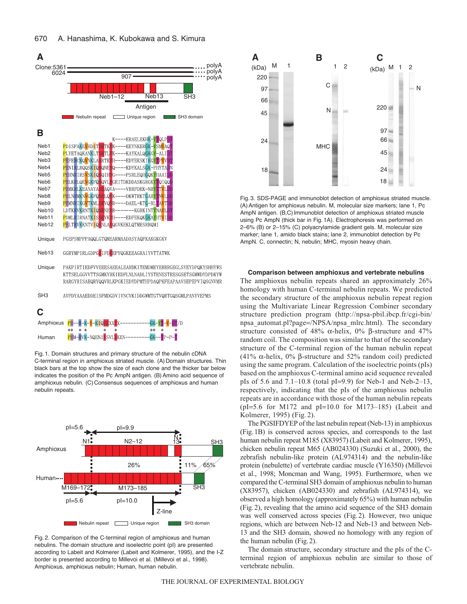





Fig. 1. Domain structures and primary structure of the nebulin cDNA C-terminal region in amphioxus striated muscle. (A) Domain structures. Thin black bars at the top show the size of each clone and the thicker bar below indicates the position of the Pc AmpN antigen. (B) Amino acid sequence of amphioxus nebulin. (C) Consensus sequences of amphioxus and human nebulin repeats.



Fig. 2. Comparison of the C-terminal region of amphioxus and human nebulins. The domain structure and isoelectric point (pI) are presented according to Labeit and Kolmerer (Labeit and Kolmerer, 1995), and the I-Z border is presented according to Millevoi et al. (Millevoi et al., 1998). Amphioxus, amphioxus nebulin; Human, human nebulin.



Fig. 3. SDS-PAGE and immunoblot detection of amphioxus striated muscle. (A) Antigen for amphioxus nebulin. M, molecular size markers; lane 1, Pc AmpN antigen. (B,C) Immunoblot detection of amphioxus striated muscle using Pc AmpN (thick bar in Fig. 1A). Electrophoresis was performed on 2–6% (B) or 2–15% (C) polyacrylamide gradient gels. M, molecular size marker; lane 1, amido black stains; lane 2, immunoblot detection by Pc AmpN. C, connectin; N, nebulin; MHC, myosin heavy chain.

**Comparison between amphioxus and vertebrate nebulins**

The amphioxus nebulin repeats shared an approximately 26% homology with human C-terminal nebulin repeats. We predicted the secondary structure of the amphioxus nebulin repeat region using the Multivariate Linear Regression Combiner secondary structure prediction program (http://npsa-pbil.ibcp.fr/cgi-bin/ npsa\_automat.pl?page=/NPSA/npsa\_mlrc.html). The secondary structure consisted of 48%  $\alpha$ -helix, 0% β-structure and 47% random coil. The composition was similar to that of the secondary structure of the C-terminal region of the human nebulin repeat (41% α-helix, 0% β-structure and 52% random coil) predicted using the same program. Calculation of the isoelectric points (pIs) based on the amphioxus C-terminal amino acid sequence revealed pIs of 5.6 and 7.1–10.8 (total pI=9.9) for Neb-1 and Neb-2–13, respectively, indicating that the pIs of the amphioxus nebulin repeats are in accordance with those of the human nebulin repeats (pI=5.6 for M172 and pI=10.0 for M173-185) (Labeit and Kolmerer, 1995) (Fig. 2).

The PGSIFDYEP of the last nebulin repeat (Neb-13) in amphioxus (Fig.1B) is conserved across species, and corresponds to the last human nebulin repeat M185 (X83957) (Labeit and Kolmerer, 1995), chicken nebulin repeat M65 (AB024330) (Suzuki et al., 2000), the zebrafish nebulin-like protein (AL974314) and the nebulin-like protein (nebulette) of vertebrate cardiac muscle (Y16350) (Millevoi et al., 1998; Moncman and Wang, 1995). Furthermore, when we compared the C-terminal SH3 domain of amphioxus nebulin to human (X83957), chicken (AB024330) and zebrafish (AL974314), we observed a high homology (approximately 65%) with human nebulin (Fig.2), revealing that the amino acid sequence of the SH3 domain was well conserved across species (Fig.2). However, two unique regions, which are between Neb-12 and Neb-13 and between Neb-13 and the SH3 domain, showed no homology with any region of the human nebulin (Fig.2).

The domain structure, secondary structure and the pIs of the Cterminal region of amphioxus nebulin are similar to those of vertebrate nebulin.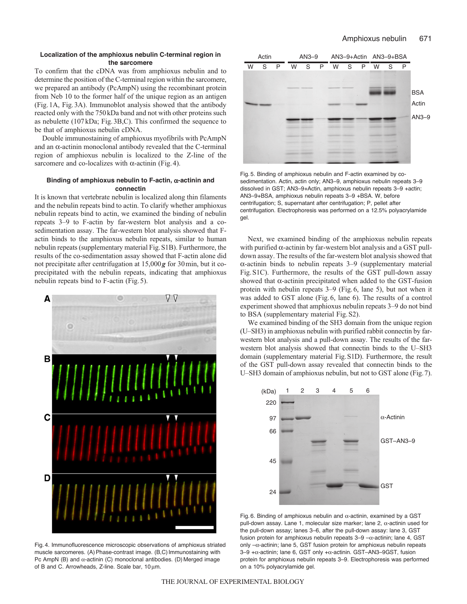# **Localization of the amphioxus nebulin C-terminal region in the sarcomere**

To confirm that the cDNA was from amphioxus nebulin and to determine the position of the C-terminal region within the sarcomere, we prepared an antibody (PcAmpN) using the recombinant protein from Neb 10 to the former half of the unique region as an antigen (Fig.1A, Fig.3A). Immunoblot analysis showed that the antibody reacted only with the 750kDa band and not with other proteins such as nebulette (107kDa; Fig.3B,C). This confirmed the sequence to be that of amphioxus nebulin cDNA.

Double immunostaining of amphioxus myofibrils with PcAmpN and an α-actinin monoclonal antibody revealed that the C-terminal region of amphioxus nebulin is localized to the Z-line of the sarcomere and co-localizes with  $\alpha$ -actinin (Fig. 4).

# **Binding of amphioxus nebulin to F-actin,** α**-actinin and connectin**

It is known that vertebrate nebulin is localized along thin filaments and the nebulin repeats bind to actin. To clarify whether amphioxus nebulin repeats bind to actin, we examined the binding of nebulin repeats 3–9 to F-actin by far-western blot analysis and a cosedimentation assay. The far-western blot analysis showed that Factin binds to the amphioxus nebulin repeats, similar to human nebulin repeats (supplementary material Fig.S1B). Furthermore, the results of the co-sedimentation assay showed that F-actin alone did not precipitate after centrifugation at 15,000*g* for 30min, but it coprecipitated with the nebulin repeats, indicating that amphioxus nebulin repeats bind to F-actin (Fig.5).



Fig. 4. Immunofluorescence microscopic observations of amphioxus striated muscle sarcomeres. (A) Phase-contrast image. (B,C) Immunostaining with Pc AmpN (B) and  $\alpha$ -actinin (C) monoclonal antibodies. (D) Merged image of B and C. Arrowheads, Z-line. Scale bar, 10 μm.



Fig. 5. Binding of amphioxus nebulin and F-actin examined by cosedimentation. Actin, actin only; AN3–9, amphioxus nebulin repeats 3–9 dissolved in GST; AN3–9+Actin, amphioxus nebulin repeats 3–9 +actin; AN3–9+BSA, amphioxus nebulin repeats 3–9 +BSA. W, before centrifugation; S, supernatant after centrifugation; P, pellet after centrifugation. Electrophoresis was performed on a 12.5% polyacrylamide gel.

Next, we examined binding of the amphioxus nebulin repeats with purified  $\alpha$ -actinin by far-western blot analysis and a GST pulldown assay. The results of the far-western blot analysis showed that α-actinin binds to nebulin repeats 3–9 (supplementary material Fig.S1C). Furthermore, the results of the GST pull-down assay showed that α-actinin precipitated when added to the GST-fusion protein with nebulin repeats 3–9 (Fig.6, lane 5), but not when it was added to GST alone (Fig.6, lane 6). The results of a control experiment showed that amphioxus nebulin repeats 3–9 do not bind to BSA (supplementary material Fig.S2).

We examined binding of the SH3 domain from the unique region (U–SH3) in amphioxus nebulin with purified rabbit connectin by farwestern blot analysis and a pull-down assay. The results of the farwestern blot analysis showed that connectin binds to the U–SH3 domain (supplementary material Fig.S1D). Furthermore, the result of the GST pull-down assay revealed that connectin binds to the U–SH3 domain of amphioxus nebulin, but not to GST alone (Fig.7).



Fig. 6. Binding of amphioxus nebulin and  $\alpha$ -actinin, examined by a GST pull-down assay. Lane 1, molecular size marker; lane 2, α-actinin used for the pull-down assay; lanes 3–6, after the pull-down assay: lane 3, GST fusion protein for amphioxus nebulin repeats  $3-9 - \alpha$ -actinin; lane 4, GST only –α-actinin; lane 5, GST fusion protein for amphioxus nebulin repeats 3–9 +α-actinin; lane 6, GST only +α-actinin. GST–AN3–9GST, fusion protein for amphioxus nebulin repeats 3–9. Electrophoresis was performed on a 10% polyacrylamide gel.